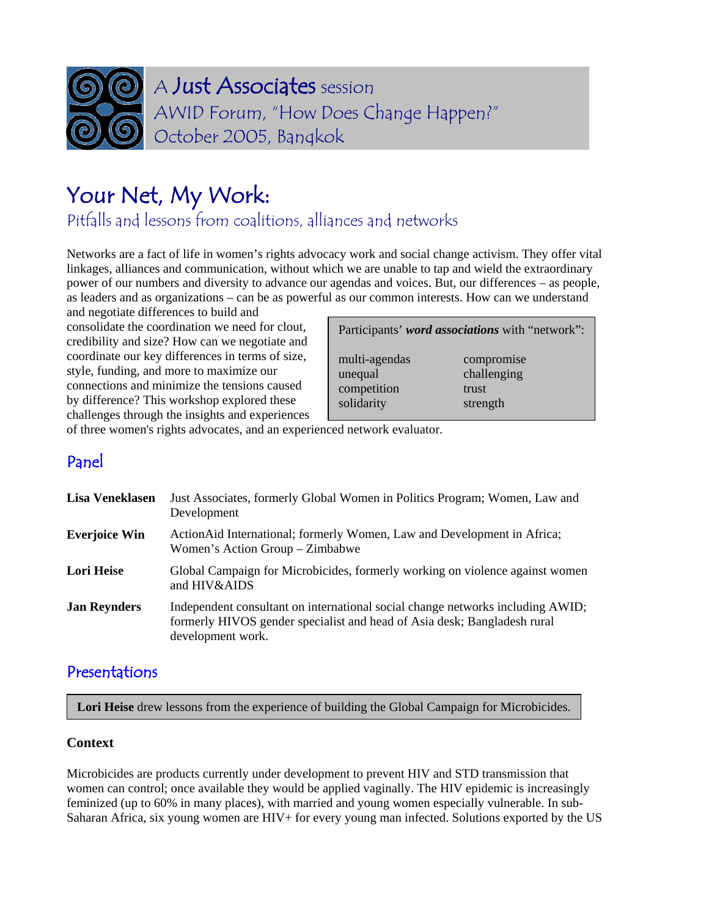

# Your Net, My Work:

Pitfalls and lessons from coalitions, alliances and networks

Networks are a fact of life in women's rights advocacy work and social change activism. They offer vital linkages, alliances and communication, without which we are unable to tap and wield the extraordinary power of our numbers and diversity to advance our agendas and voices. But, our differences – as people, as leaders and as organizations – can be as powerful as our common interests. How can we understand

and negotiate differences to build and consolidate the coordination we need for clout, credibility and size? How can we negotiate and coordinate our key differences in terms of size, style, funding, and more to maximize our connections and minimize the tensions caused by difference? This workshop explored these challenges through the insights and experiences

| Participants' word associations with "network": |             |
|-------------------------------------------------|-------------|
| multi-agendas                                   | compromise  |
| unequal                                         | challenging |
| competition                                     | trust       |
| solidarity                                      | strength    |

of three women's rights advocates, and an experienced network evaluator.

# Panel

| Lisa Veneklasen      | Just Associates, formerly Global Women in Politics Program; Women, Law and<br>Development                                                                                       |
|----------------------|---------------------------------------------------------------------------------------------------------------------------------------------------------------------------------|
| <b>Everjoice Win</b> | Action Aid International; formerly Women, Law and Development in Africa;<br>Women's Action Group - Zimbabwe                                                                     |
| Lori Heise           | Global Campaign for Microbicides, formerly working on violence against women<br>and HIV&AIDS                                                                                    |
| <b>Jan Reynders</b>  | Independent consultant on international social change networks including AWID;<br>formerly HIVOS gender specialist and head of Asia desk; Bangladesh rural<br>development work. |

# Presentations

Lori Heise drew lessons from the experience of building the Global Campaign for Microbicides.

# **Context**

Microbicides are products currently under development to prevent HIV and STD transmission that women can control; once available they would be applied vaginally. The HIV epidemic is increasingly feminized (up to 60% in many places), with married and young women especially vulnerable. In sub-Saharan Africa, six young women are HIV+ for every young man infected. Solutions exported by the US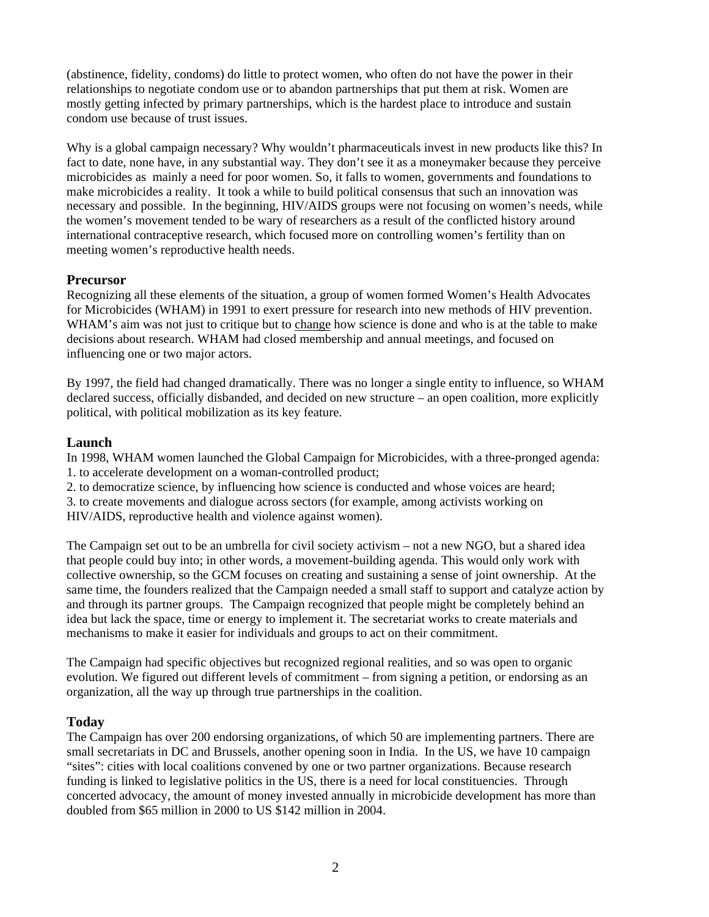(abstinence, fidelity, condoms) do little to protect women, who often do not have the power in their relationships to negotiate condom use or to abandon partnerships that put them at risk. Women are mostly getting infected by primary partnerships, which is the hardest place to introduce and sustain condom use because of trust issues.

Why is a global campaign necessary? Why wouldn't pharmaceuticals invest in new products like this? In fact to date, none have, in any substantial way. They don't see it as a moneymaker because they perceive microbicides as mainly a need for poor women. So, it falls to women, governments and foundations to make microbicides a reality. It took a while to build political consensus that such an innovation was necessary and possible. In the beginning, HIV/AIDS groups were not focusing on women's needs, while the women's movement tended to be wary of researchers as a result of the conflicted history around international contraceptive research, which focused more on controlling women's fertility than on meeting women's reproductive health needs.

### **Precursor**

Recognizing all these elements of the situation, a group of women formed Women's Health Advocates for Microbicides (WHAM) in 1991 to exert pressure for research into new methods of HIV prevention. WHAM's aim was not just to critique but to change how science is done and who is at the table to make decisions about research. WHAM had closed membership and annual meetings, and focused on influencing one or two major actors.

By 1997, the field had changed dramatically. There was no longer a single entity to influence, so WHAM declared success, officially disbanded, and decided on new structure – an open coalition, more explicitly political, with political mobilization as its key feature.

#### **Launch**

In 1998, WHAM women launched the Global Campaign for Microbicides, with a three-pronged agenda: 1. to accelerate development on a woman-controlled product;

2. to democratize science, by influencing how science is conducted and whose voices are heard;

3. to create movements and dialogue across sectors (for example, among activists working on HIV/AIDS, reproductive health and violence against women).

The Campaign set out to be an umbrella for civil society activism – not a new NGO, but a shared idea that people could buy into; in other words, a movement-building agenda. This would only work with collective ownership, so the GCM focuses on creating and sustaining a sense of joint ownership. At the same time, the founders realized that the Campaign needed a small staff to support and catalyze action by and through its partner groups. The Campaign recognized that people might be completely behind an idea but lack the space, time or energy to implement it. The secretariat works to create materials and mechanisms to make it easier for individuals and groups to act on their commitment.

The Campaign had specific objectives but recognized regional realities, and so was open to organic evolution. We figured out different levels of commitment – from signing a petition, or endorsing as an organization, all the way up through true partnerships in the coalition.

### **Today**

The Campaign has over 200 endorsing organizations, of which 50 are implementing partners. There are small secretariats in DC and Brussels, another opening soon in India. In the US, we have 10 campaign "sites": cities with local coalitions convened by one or two partner organizations. Because research funding is linked to legislative politics in the US, there is a need for local constituencies. Through concerted advocacy, the amount of money invested annually in microbicide development has more than doubled from \$65 million in 2000 to US \$142 million in 2004.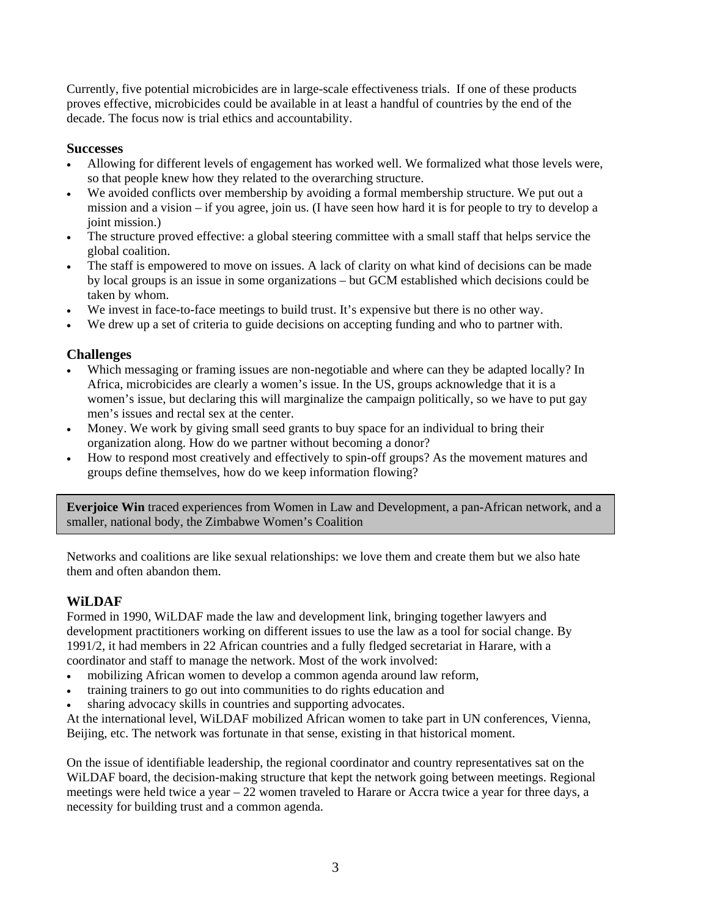Currently, five potential microbicides are in large-scale effectiveness trials. If one of these products proves effective, microbicides could be available in at least a handful of countries by the end of the decade. The focus now is trial ethics and accountability.

## **Successes**

- Allowing for different levels of engagement has worked well. We formalized what those levels were, so that people knew how they related to the overarching structure.
- We avoided conflicts over membership by avoiding a formal membership structure. We put out a mission and a vision – if you agree, join us. (I have seen how hard it is for people to try to develop a joint mission.)
- The structure proved effective: a global steering committee with a small staff that helps service the global coalition.
- The staff is empowered to move on issues. A lack of clarity on what kind of decisions can be made by local groups is an issue in some organizations – but GCM established which decisions could be taken by whom.
- We invest in face-to-face meetings to build trust. It's expensive but there is no other way.
- We drew up a set of criteria to guide decisions on accepting funding and who to partner with.

# **Challenges**

- Which messaging or framing issues are non-negotiable and where can they be adapted locally? In Africa, microbicides are clearly a women's issue. In the US, groups acknowledge that it is a women's issue, but declaring this will marginalize the campaign politically, so we have to put gay men's issues and rectal sex at the center.
- Money. We work by giving small seed grants to buy space for an individual to bring their organization along. How do we partner without becoming a donor?
- How to respond most creatively and effectively to spin-off groups? As the movement matures and groups define themselves, how do we keep information flowing?

**Everjoice Win** traced experiences from Women in Law and Development, a pan-African network, and a smaller, national body, the Zimbabwe Women's Coalition

Networks and coalitions are like sexual relationships: we love them and create them but we also hate them and often abandon them.

# **WiLDAF**

Formed in 1990, WiLDAF made the law and development link, bringing together lawyers and development practitioners working on different issues to use the law as a tool for social change. By 1991/2, it had members in 22 African countries and a fully fledged secretariat in Harare, with a coordinator and staff to manage the network. Most of the work involved:

- mobilizing African women to develop a common agenda around law reform,
- training trainers to go out into communities to do rights education and
- sharing advocacy skills in countries and supporting advocates.

At the international level, WiLDAF mobilized African women to take part in UN conferences, Vienna, Beijing, etc. The network was fortunate in that sense, existing in that historical moment.

On the issue of identifiable leadership, the regional coordinator and country representatives sat on the WiLDAF board, the decision-making structure that kept the network going between meetings. Regional meetings were held twice a year – 22 women traveled to Harare or Accra twice a year for three days, a necessity for building trust and a common agenda.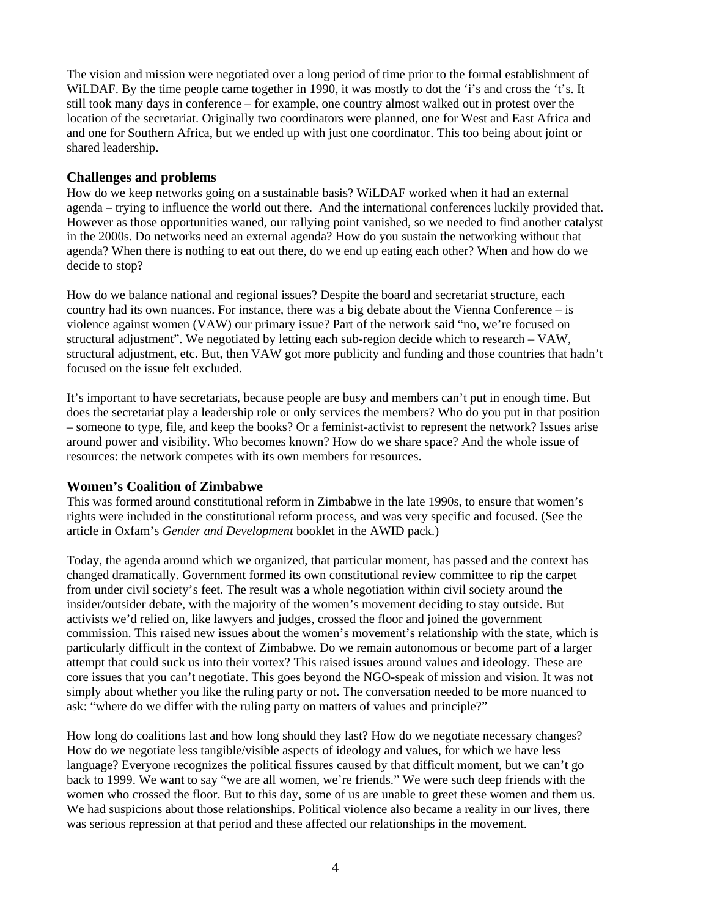The vision and mission were negotiated over a long period of time prior to the formal establishment of WiLDAF. By the time people came together in 1990, it was mostly to dot the 'i's and cross the 't's. It still took many days in conference – for example, one country almost walked out in protest over the location of the secretariat. Originally two coordinators were planned, one for West and East Africa and and one for Southern Africa, but we ended up with just one coordinator. This too being about joint or shared leadership.

#### **Challenges and problems**

How do we keep networks going on a sustainable basis? WiLDAF worked when it had an external agenda – trying to influence the world out there. And the international conferences luckily provided that. However as those opportunities waned, our rallying point vanished, so we needed to find another catalyst in the 2000s. Do networks need an external agenda? How do you sustain the networking without that agenda? When there is nothing to eat out there, do we end up eating each other? When and how do we decide to stop?

How do we balance national and regional issues? Despite the board and secretariat structure, each country had its own nuances. For instance, there was a big debate about the Vienna Conference – is violence against women (VAW) our primary issue? Part of the network said "no, we're focused on structural adjustment". We negotiated by letting each sub-region decide which to research – VAW, structural adjustment, etc. But, then VAW got more publicity and funding and those countries that hadn't focused on the issue felt excluded.

It's important to have secretariats, because people are busy and members can't put in enough time. But does the secretariat play a leadership role or only services the members? Who do you put in that position – someone to type, file, and keep the books? Or a feminist-activist to represent the network? Issues arise around power and visibility. Who becomes known? How do we share space? And the whole issue of resources: the network competes with its own members for resources.

### **Women's Coalition of Zimbabwe**

This was formed around constitutional reform in Zimbabwe in the late 1990s, to ensure that women's rights were included in the constitutional reform process, and was very specific and focused. (See the article in Oxfam's *Gender and Development* booklet in the AWID pack.)

Today, the agenda around which we organized, that particular moment, has passed and the context has changed dramatically. Government formed its own constitutional review committee to rip the carpet from under civil society's feet. The result was a whole negotiation within civil society around the insider/outsider debate, with the majority of the women's movement deciding to stay outside. But activists we'd relied on, like lawyers and judges, crossed the floor and joined the government commission. This raised new issues about the women's movement's relationship with the state, which is particularly difficult in the context of Zimbabwe. Do we remain autonomous or become part of a larger attempt that could suck us into their vortex? This raised issues around values and ideology. These are core issues that you can't negotiate. This goes beyond the NGO-speak of mission and vision. It was not simply about whether you like the ruling party or not. The conversation needed to be more nuanced to ask: "where do we differ with the ruling party on matters of values and principle?"

How long do coalitions last and how long should they last? How do we negotiate necessary changes? How do we negotiate less tangible/visible aspects of ideology and values, for which we have less language? Everyone recognizes the political fissures caused by that difficult moment, but we can't go back to 1999. We want to say "we are all women, we're friends." We were such deep friends with the women who crossed the floor. But to this day, some of us are unable to greet these women and them us. We had suspicions about those relationships. Political violence also became a reality in our lives, there was serious repression at that period and these affected our relationships in the movement.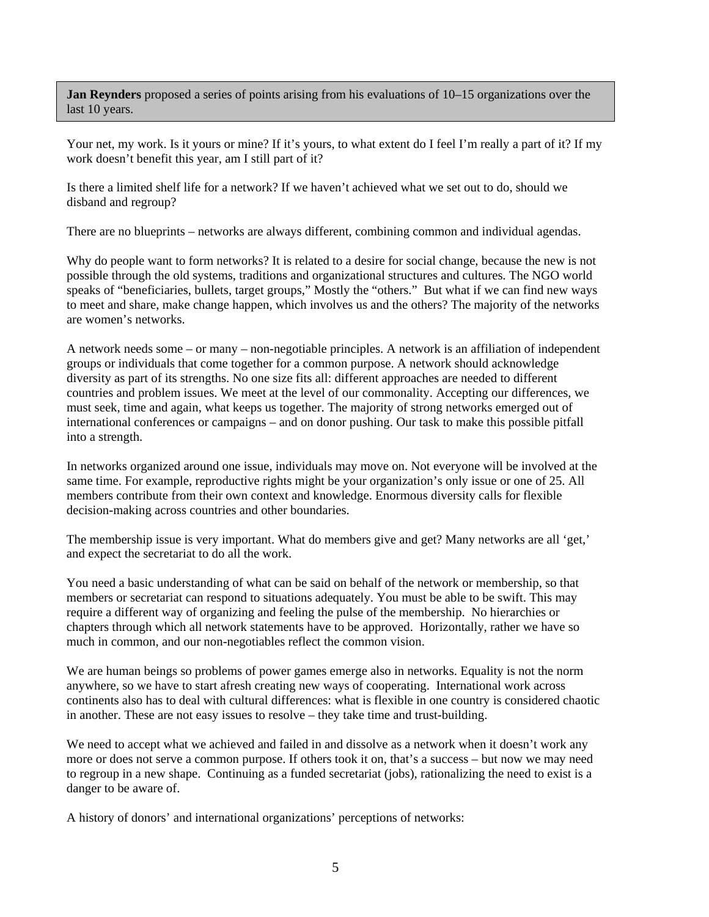**Jan Reynders** proposed a series of points arising from his evaluations of 10–15 organizations over the last 10 years.

Your net, my work. Is it yours or mine? If it's yours, to what extent do I feel I'm really a part of it? If my work doesn't benefit this year, am I still part of it?

Is there a limited shelf life for a network? If we haven't achieved what we set out to do, should we disband and regroup?

There are no blueprints – networks are always different, combining common and individual agendas.

Why do people want to form networks? It is related to a desire for social change, because the new is not possible through the old systems, traditions and organizational structures and cultures. The NGO world speaks of "beneficiaries, bullets, target groups," Mostly the "others." But what if we can find new ways to meet and share, make change happen, which involves us and the others? The majority of the networks are women's networks.

A network needs some – or many – non-negotiable principles. A network is an affiliation of independent groups or individuals that come together for a common purpose. A network should acknowledge diversity as part of its strengths. No one size fits all: different approaches are needed to different countries and problem issues. We meet at the level of our commonality. Accepting our differences, we must seek, time and again, what keeps us together. The majority of strong networks emerged out of international conferences or campaigns – and on donor pushing. Our task to make this possible pitfall into a strength.

In networks organized around one issue, individuals may move on. Not everyone will be involved at the same time. For example, reproductive rights might be your organization's only issue or one of 25. All members contribute from their own context and knowledge. Enormous diversity calls for flexible decision-making across countries and other boundaries.

The membership issue is very important. What do members give and get? Many networks are all 'get,' and expect the secretariat to do all the work.

You need a basic understanding of what can be said on behalf of the network or membership, so that members or secretariat can respond to situations adequately. You must be able to be swift. This may require a different way of organizing and feeling the pulse of the membership. No hierarchies or chapters through which all network statements have to be approved. Horizontally, rather we have so much in common, and our non-negotiables reflect the common vision.

We are human beings so problems of power games emerge also in networks. Equality is not the norm anywhere, so we have to start afresh creating new ways of cooperating. International work across continents also has to deal with cultural differences: what is flexible in one country is considered chaotic in another. These are not easy issues to resolve – they take time and trust-building.

We need to accept what we achieved and failed in and dissolve as a network when it doesn't work any more or does not serve a common purpose. If others took it on, that's a success – but now we may need to regroup in a new shape. Continuing as a funded secretariat (jobs), rationalizing the need to exist is a danger to be aware of.

A history of donors' and international organizations' perceptions of networks: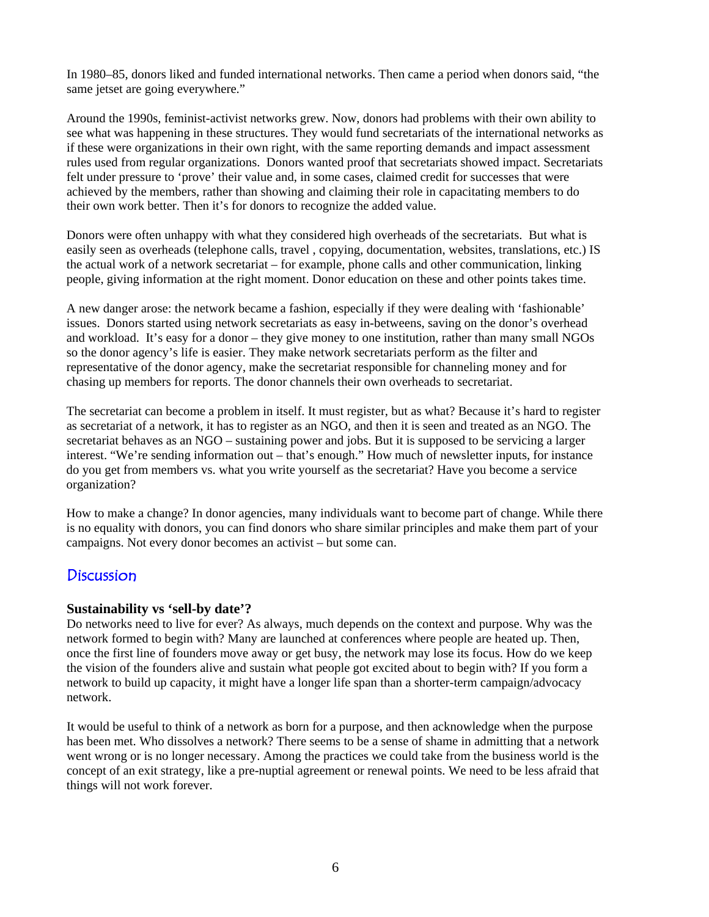In 1980–85, donors liked and funded international networks. Then came a period when donors said, "the same jetset are going everywhere."

Around the 1990s, feminist-activist networks grew. Now, donors had problems with their own ability to see what was happening in these structures. They would fund secretariats of the international networks as if these were organizations in their own right, with the same reporting demands and impact assessment rules used from regular organizations. Donors wanted proof that secretariats showed impact. Secretariats felt under pressure to 'prove' their value and, in some cases, claimed credit for successes that were achieved by the members, rather than showing and claiming their role in capacitating members to do their own work better. Then it's for donors to recognize the added value.

Donors were often unhappy with what they considered high overheads of the secretariats. But what is easily seen as overheads (telephone calls, travel , copying, documentation, websites, translations, etc.) IS the actual work of a network secretariat – for example, phone calls and other communication, linking people, giving information at the right moment. Donor education on these and other points takes time.

A new danger arose: the network became a fashion, especially if they were dealing with 'fashionable' issues. Donors started using network secretariats as easy in-betweens, saving on the donor's overhead and workload. It's easy for a donor – they give money to one institution, rather than many small NGOs so the donor agency's life is easier. They make network secretariats perform as the filter and representative of the donor agency, make the secretariat responsible for channeling money and for chasing up members for reports. The donor channels their own overheads to secretariat.

The secretariat can become a problem in itself. It must register, but as what? Because it's hard to register as secretariat of a network, it has to register as an NGO, and then it is seen and treated as an NGO. The secretariat behaves as an NGO – sustaining power and jobs. But it is supposed to be servicing a larger interest. "We're sending information out – that's enough." How much of newsletter inputs, for instance do you get from members vs. what you write yourself as the secretariat? Have you become a service organization?

How to make a change? In donor agencies, many individuals want to become part of change. While there is no equality with donors, you can find donors who share similar principles and make them part of your campaigns. Not every donor becomes an activist – but some can.

# Discussion

#### **Sustainability vs 'sell-by date'?**

Do networks need to live for ever? As always, much depends on the context and purpose. Why was the network formed to begin with? Many are launched at conferences where people are heated up. Then, once the first line of founders move away or get busy, the network may lose its focus. How do we keep the vision of the founders alive and sustain what people got excited about to begin with? If you form a network to build up capacity, it might have a longer life span than a shorter-term campaign/advocacy network.

It would be useful to think of a network as born for a purpose, and then acknowledge when the purpose has been met. Who dissolves a network? There seems to be a sense of shame in admitting that a network went wrong or is no longer necessary. Among the practices we could take from the business world is the concept of an exit strategy, like a pre-nuptial agreement or renewal points. We need to be less afraid that things will not work forever.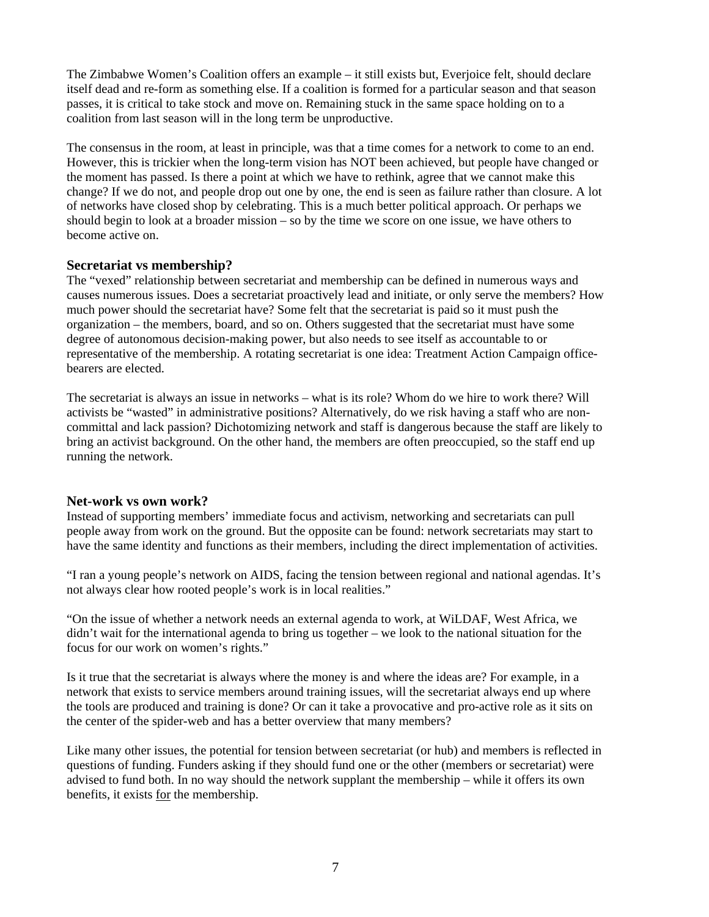The Zimbabwe Women's Coalition offers an example – it still exists but, Everjoice felt, should declare itself dead and re-form as something else. If a coalition is formed for a particular season and that season passes, it is critical to take stock and move on. Remaining stuck in the same space holding on to a coalition from last season will in the long term be unproductive.

The consensus in the room, at least in principle, was that a time comes for a network to come to an end. However, this is trickier when the long-term vision has NOT been achieved, but people have changed or the moment has passed. Is there a point at which we have to rethink, agree that we cannot make this change? If we do not, and people drop out one by one, the end is seen as failure rather than closure. A lot of networks have closed shop by celebrating. This is a much better political approach. Or perhaps we should begin to look at a broader mission – so by the time we score on one issue, we have others to become active on.

#### **Secretariat vs membership?**

The "vexed" relationship between secretariat and membership can be defined in numerous ways and causes numerous issues. Does a secretariat proactively lead and initiate, or only serve the members? How much power should the secretariat have? Some felt that the secretariat is paid so it must push the organization – the members, board, and so on. Others suggested that the secretariat must have some degree of autonomous decision-making power, but also needs to see itself as accountable to or representative of the membership. A rotating secretariat is one idea: Treatment Action Campaign officebearers are elected.

The secretariat is always an issue in networks – what is its role? Whom do we hire to work there? Will activists be "wasted" in administrative positions? Alternatively, do we risk having a staff who are noncommittal and lack passion? Dichotomizing network and staff is dangerous because the staff are likely to bring an activist background. On the other hand, the members are often preoccupied, so the staff end up running the network.

#### **Net-work vs own work?**

Instead of supporting members' immediate focus and activism, networking and secretariats can pull people away from work on the ground. But the opposite can be found: network secretariats may start to have the same identity and functions as their members, including the direct implementation of activities.

"I ran a young people's network on AIDS, facing the tension between regional and national agendas. It's not always clear how rooted people's work is in local realities."

"On the issue of whether a network needs an external agenda to work, at WiLDAF, West Africa, we didn't wait for the international agenda to bring us together – we look to the national situation for the focus for our work on women's rights."

Is it true that the secretariat is always where the money is and where the ideas are? For example, in a network that exists to service members around training issues, will the secretariat always end up where the tools are produced and training is done? Or can it take a provocative and pro-active role as it sits on the center of the spider-web and has a better overview that many members?

Like many other issues, the potential for tension between secretariat (or hub) and members is reflected in questions of funding. Funders asking if they should fund one or the other (members or secretariat) were advised to fund both. In no way should the network supplant the membership – while it offers its own benefits, it exists for the membership.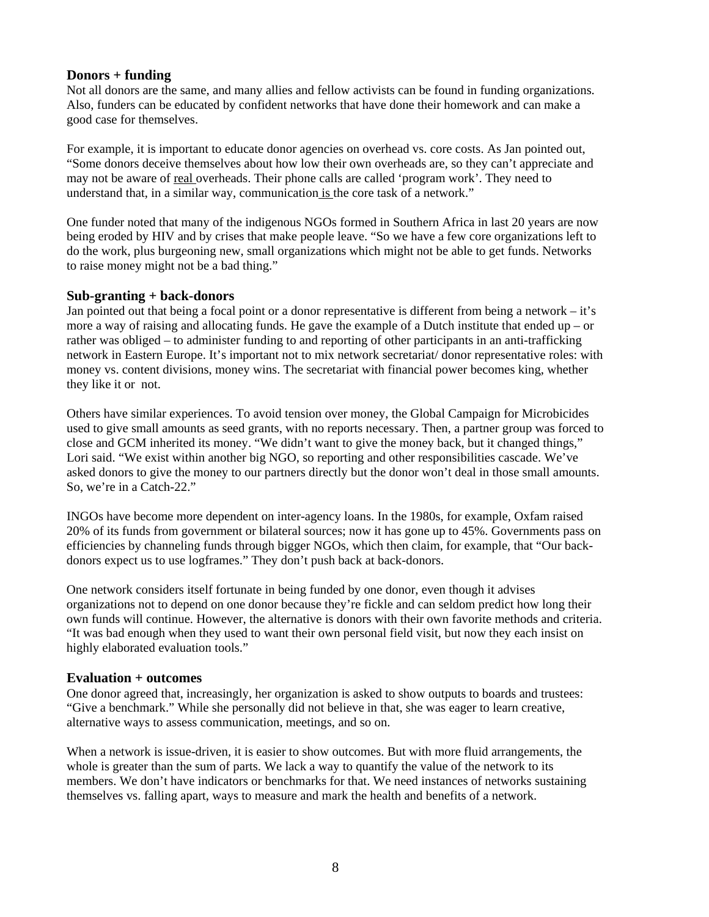#### **Donors + funding**

Not all donors are the same, and many allies and fellow activists can be found in funding organizations. Also, funders can be educated by confident networks that have done their homework and can make a good case for themselves.

For example, it is important to educate donor agencies on overhead vs. core costs. As Jan pointed out, "Some donors deceive themselves about how low their own overheads are, so they can't appreciate and may not be aware of real overheads. Their phone calls are called 'program work'. They need to understand that, in a similar way, communication is the core task of a network."

One funder noted that many of the indigenous NGOs formed in Southern Africa in last 20 years are now being eroded by HIV and by crises that make people leave. "So we have a few core organizations left to do the work, plus burgeoning new, small organizations which might not be able to get funds. Networks to raise money might not be a bad thing."

#### **Sub-granting + back-donors**

Jan pointed out that being a focal point or a donor representative is different from being a network – it's more a way of raising and allocating funds. He gave the example of a Dutch institute that ended up – or rather was obliged – to administer funding to and reporting of other participants in an anti-trafficking network in Eastern Europe. It's important not to mix network secretariat/ donor representative roles: with money vs. content divisions, money wins. The secretariat with financial power becomes king, whether they like it or not.

Others have similar experiences. To avoid tension over money, the Global Campaign for Microbicides used to give small amounts as seed grants, with no reports necessary. Then, a partner group was forced to close and GCM inherited its money. "We didn't want to give the money back, but it changed things," Lori said. "We exist within another big NGO, so reporting and other responsibilities cascade. We've asked donors to give the money to our partners directly but the donor won't deal in those small amounts. So, we're in a Catch-22."

INGOs have become more dependent on inter-agency loans. In the 1980s, for example, Oxfam raised 20% of its funds from government or bilateral sources; now it has gone up to 45%. Governments pass on efficiencies by channeling funds through bigger NGOs, which then claim, for example, that "Our backdonors expect us to use logframes." They don't push back at back-donors.

One network considers itself fortunate in being funded by one donor, even though it advises organizations not to depend on one donor because they're fickle and can seldom predict how long their own funds will continue. However, the alternative is donors with their own favorite methods and criteria. "It was bad enough when they used to want their own personal field visit, but now they each insist on highly elaborated evaluation tools."

### **Evaluation + outcomes**

One donor agreed that, increasingly, her organization is asked to show outputs to boards and trustees: "Give a benchmark." While she personally did not believe in that, she was eager to learn creative, alternative ways to assess communication, meetings, and so on.

When a network is issue-driven, it is easier to show outcomes. But with more fluid arrangements, the whole is greater than the sum of parts. We lack a way to quantify the value of the network to its members. We don't have indicators or benchmarks for that. We need instances of networks sustaining themselves vs. falling apart, ways to measure and mark the health and benefits of a network.